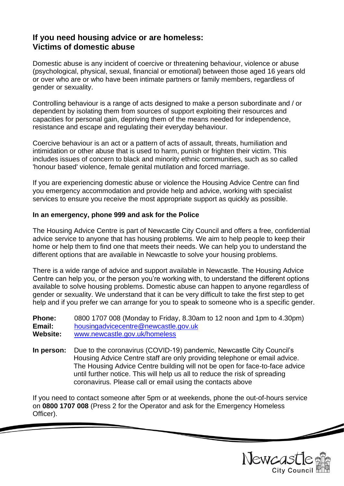## **If you need housing advice or are homeless: Victims of domestic abuse**

Domestic abuse is any incident of coercive or threatening behaviour, violence or abuse (psychological, physical, sexual, financial or emotional) between those aged 16 years old or over who are or who have been intimate partners or family members, regardless of gender or sexuality.

Controlling behaviour is a range of acts designed to make a person subordinate and / or dependent by isolating them from sources of support exploiting their resources and capacities for personal gain, depriving them of the means needed for independence, resistance and escape and regulating their everyday behaviour.

Coercive behaviour is an act or a pattern of acts of assault, threats, humiliation and intimidation or other abuse that is used to harm, punish or frighten their victim. This includes issues of concern to black and minority ethnic communities, such as so called 'honour based' violence, female genital mutilation and forced marriage.

If you are experiencing domestic abuse or violence the Housing Advice Centre can find you emergency accommodation and provide help and advice, working with specialist services to ensure you receive the most appropriate support as quickly as possible.

### **In an emergency, phone 999 and ask for the Police**

The Housing Advice Centre is part of Newcastle City Council and offers a free, confidential advice service to anyone that has housing problems. We aim to help people to keep their home or help them to find one that meets their needs. We can help you to understand the different options that are available in Newcastle to solve your housing problems.

There is a wide range of advice and support available in Newcastle. The Housing Advice Centre can help you, or the person you're working with, to understand the different options available to solve housing problems. Domestic abuse can happen to anyone regardless of gender or sexuality. We understand that it can be very difficult to take the first step to get help and if you prefer we can arrange for you to speak to someone who is a specific gender.

**Phone:** 0800 1707 008 (Monday to Friday, 8.30am to 12 noon and 1pm to 4.30pm) **Email:** [housingadvicecentre@newcastle.gov.uk](mailto:housingadvicecentre@newcastle.gov.uk) **Website:** [www.newcastle.gov.uk/homeless](http://www.newcastle.gov.uk/homeless)

**In person:** Due to the coronavirus (COVID-19) pandemic, Newcastle City Council's Housing Advice Centre staff are only providing telephone or email advice. The Housing Advice Centre building will not be open for face-to-face advice until further notice. This will help us all to reduce the risk of spreading coronavirus. Please call or email using the contacts above

If you need to contact someone after 5pm or at weekends, phone the out-of-hours service on **0800 1707 008** (Press 2 for the Operator and ask for the Emergency Homeless Officer).



 $\overline{\mathscr{L}}$